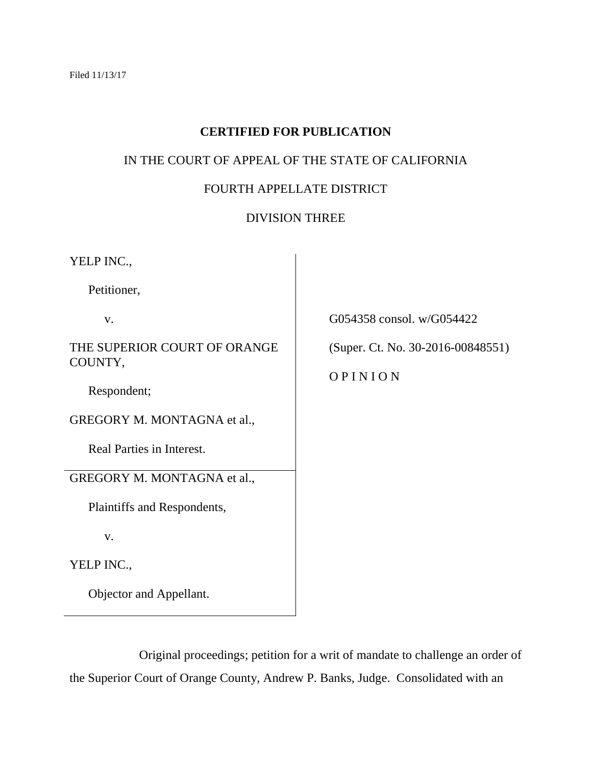# **CERTIFIED FOR PUBLICATION**

## IN THE COURT OF APPEAL OF THE STATE OF CALIFORNIA

# FOURTH APPELLATE DISTRICT

## DIVISION THREE

| YELP INC.,                              |                                              |
|-----------------------------------------|----------------------------------------------|
| Petitioner,                             |                                              |
| V.                                      | G054358 consol. w/G054422                    |
| THE SUPERIOR COURT OF ORANGE<br>COUNTY, | (Super. Ct. No. 30-2016-00848551)<br>OPINION |
| Respondent;                             |                                              |
|                                         |                                              |
| GREGORY M. MONTAGNA et al.,             |                                              |
| Real Parties in Interest.               |                                              |
| GREGORY M. MONTAGNA et al.,             |                                              |
| Plaintiffs and Respondents,             |                                              |
| V.                                      |                                              |
| YELP INC.,                              |                                              |
| Objector and Appellant.                 |                                              |

Original proceedings; petition for a writ of mandate to challenge an order of the Superior Court of Orange County, Andrew P. Banks, Judge. Consolidated with an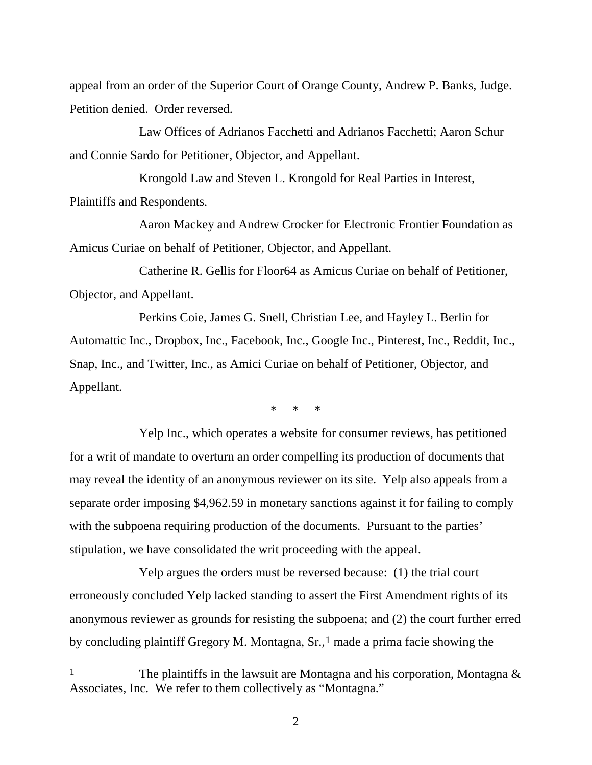appeal from an order of the Superior Court of Orange County, Andrew P. Banks, Judge. Petition denied. Order reversed.

Law Offices of Adrianos Facchetti and Adrianos Facchetti; Aaron Schur and Connie Sardo for Petitioner, Objector, and Appellant.

Krongold Law and Steven L. Krongold for Real Parties in Interest, Plaintiffs and Respondents.

Aaron Mackey and Andrew Crocker for Electronic Frontier Foundation as Amicus Curiae on behalf of Petitioner, Objector, and Appellant.

Catherine R. Gellis for Floor64 as Amicus Curiae on behalf of Petitioner, Objector, and Appellant.

Perkins Coie, James G. Snell, Christian Lee, and Hayley L. Berlin for Automattic Inc., Dropbox, Inc., Facebook, Inc., Google Inc., Pinterest, Inc., Reddit, Inc., Snap, Inc., and Twitter, Inc., as Amici Curiae on behalf of Petitioner, Objector, and Appellant.

\* \* \*

Yelp Inc., which operates a website for consumer reviews, has petitioned for a writ of mandate to overturn an order compelling its production of documents that may reveal the identity of an anonymous reviewer on its site. Yelp also appeals from a separate order imposing \$4,962.59 in monetary sanctions against it for failing to comply with the subpoena requiring production of the documents. Pursuant to the parties' stipulation, we have consolidated the writ proceeding with the appeal.

Yelp argues the orders must be reversed because: (1) the trial court erroneously concluded Yelp lacked standing to assert the First Amendment rights of its anonymous reviewer as grounds for resisting the subpoena; and (2) the court further erred by concluding plaintiff Gregory M. Montagna,  $Sr.,<sup>1</sup>$  $Sr.,<sup>1</sup>$  $Sr.,<sup>1</sup>$  made a prima facie showing the

 $\overline{a}$ 

<span id="page-1-0"></span><sup>&</sup>lt;sup>1</sup> The plaintiffs in the lawsuit are Montagna and his corporation, Montagna  $\&$ Associates, Inc. We refer to them collectively as "Montagna."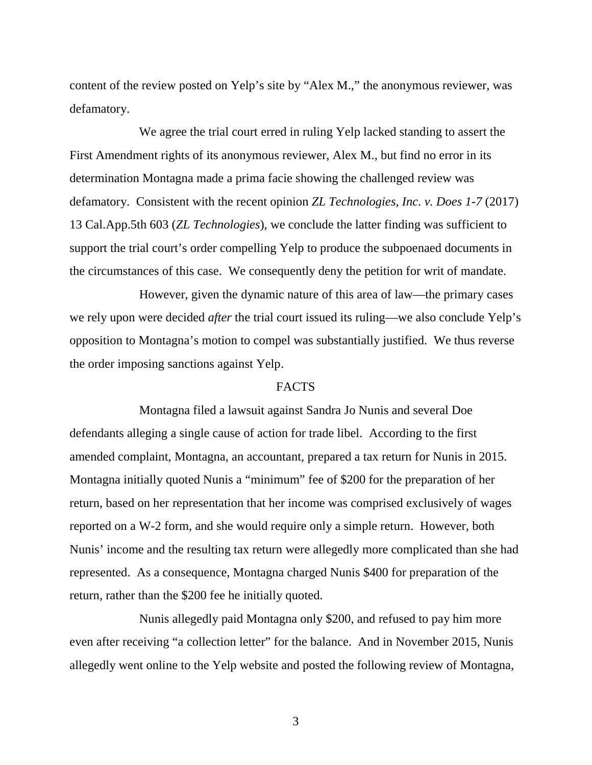content of the review posted on Yelp's site by "Alex M.," the anonymous reviewer, was defamatory.

We agree the trial court erred in ruling Yelp lacked standing to assert the First Amendment rights of its anonymous reviewer, Alex M., but find no error in its determination Montagna made a prima facie showing the challenged review was defamatory. Consistent with the recent opinion *ZL Technologies, Inc. v. Does 1-7* (2017) 13 Cal.App.5th 603 (*ZL Technologies*), we conclude the latter finding was sufficient to support the trial court's order compelling Yelp to produce the subpoenaed documents in the circumstances of this case. We consequently deny the petition for writ of mandate.

However, given the dynamic nature of this area of law—the primary cases we rely upon were decided *after* the trial court issued its ruling—we also conclude Yelp's opposition to Montagna's motion to compel was substantially justified. We thus reverse the order imposing sanctions against Yelp.

#### FACTS

Montagna filed a lawsuit against Sandra Jo Nunis and several Doe defendants alleging a single cause of action for trade libel. According to the first amended complaint, Montagna, an accountant, prepared a tax return for Nunis in 2015. Montagna initially quoted Nunis a "minimum" fee of \$200 for the preparation of her return, based on her representation that her income was comprised exclusively of wages reported on a W-2 form, and she would require only a simple return. However, both Nunis' income and the resulting tax return were allegedly more complicated than she had represented. As a consequence, Montagna charged Nunis \$400 for preparation of the return, rather than the \$200 fee he initially quoted.

Nunis allegedly paid Montagna only \$200, and refused to pay him more even after receiving "a collection letter" for the balance. And in November 2015, Nunis allegedly went online to the Yelp website and posted the following review of Montagna,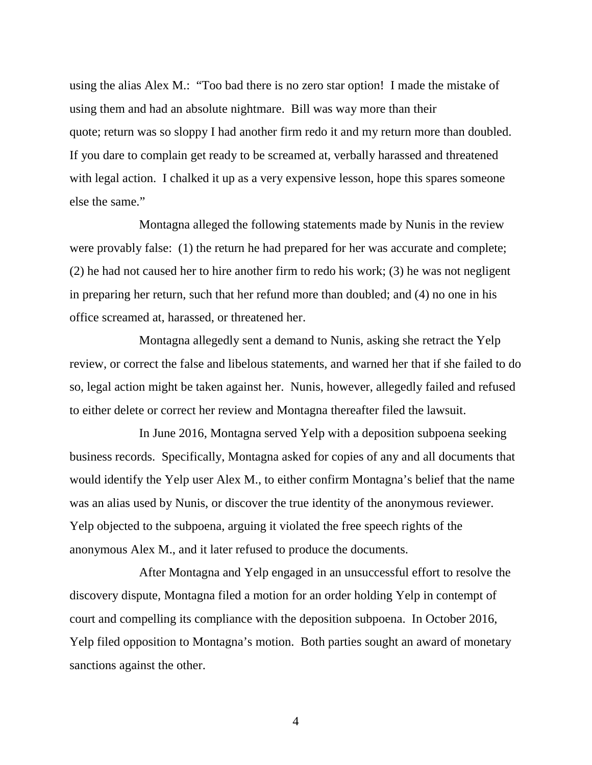using the alias Alex M.: "Too bad there is no zero star option! I made the mistake of using them and had an absolute nightmare. Bill was way more than their quote; return was so sloppy I had another firm redo it and my return more than doubled. If you dare to complain get ready to be screamed at, verbally harassed and threatened with legal action. I chalked it up as a very expensive lesson, hope this spares someone else the same."

Montagna alleged the following statements made by Nunis in the review were provably false: (1) the return he had prepared for her was accurate and complete; (2) he had not caused her to hire another firm to redo his work; (3) he was not negligent in preparing her return, such that her refund more than doubled; and (4) no one in his office screamed at, harassed, or threatened her.

Montagna allegedly sent a demand to Nunis, asking she retract the Yelp review, or correct the false and libelous statements, and warned her that if she failed to do so, legal action might be taken against her. Nunis, however, allegedly failed and refused to either delete or correct her review and Montagna thereafter filed the lawsuit.

In June 2016, Montagna served Yelp with a deposition subpoena seeking business records. Specifically, Montagna asked for copies of any and all documents that would identify the Yelp user Alex M., to either confirm Montagna's belief that the name was an alias used by Nunis, or discover the true identity of the anonymous reviewer. Yelp objected to the subpoena, arguing it violated the free speech rights of the anonymous Alex M., and it later refused to produce the documents.

After Montagna and Yelp engaged in an unsuccessful effort to resolve the discovery dispute, Montagna filed a motion for an order holding Yelp in contempt of court and compelling its compliance with the deposition subpoena. In October 2016, Yelp filed opposition to Montagna's motion. Both parties sought an award of monetary sanctions against the other.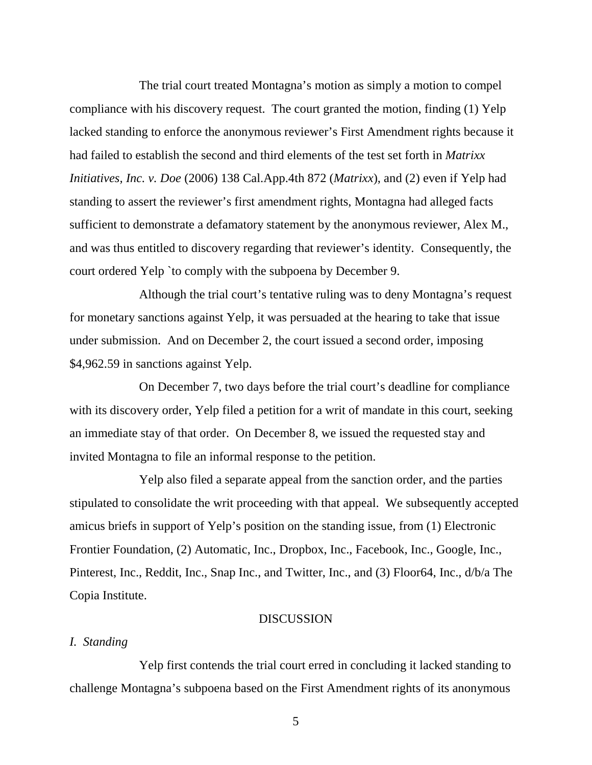The trial court treated Montagna's motion as simply a motion to compel compliance with his discovery request. The court granted the motion, finding (1) Yelp lacked standing to enforce the anonymous reviewer's First Amendment rights because it had failed to establish the second and third elements of the test set forth in *Matrixx Initiatives, Inc. v. Doe* (2006) 138 Cal.App.4th 872 (*Matrixx*), and (2) even if Yelp had standing to assert the reviewer's first amendment rights, Montagna had alleged facts sufficient to demonstrate a defamatory statement by the anonymous reviewer, Alex M., and was thus entitled to discovery regarding that reviewer's identity. Consequently, the court ordered Yelp `to comply with the subpoena by December 9.

Although the trial court's tentative ruling was to deny Montagna's request for monetary sanctions against Yelp, it was persuaded at the hearing to take that issue under submission. And on December 2, the court issued a second order, imposing \$4,962.59 in sanctions against Yelp.

On December 7, two days before the trial court's deadline for compliance with its discovery order, Yelp filed a petition for a writ of mandate in this court, seeking an immediate stay of that order. On December 8, we issued the requested stay and invited Montagna to file an informal response to the petition.

Yelp also filed a separate appeal from the sanction order, and the parties stipulated to consolidate the writ proceeding with that appeal. We subsequently accepted amicus briefs in support of Yelp's position on the standing issue, from (1) Electronic Frontier Foundation, (2) Automatic, Inc., Dropbox, Inc., Facebook, Inc., Google, Inc., Pinterest, Inc., Reddit, Inc., Snap Inc., and Twitter, Inc., and (3) Floor64, Inc., d/b/a The Copia Institute.

### DISCUSSION

### *I. Standing*

Yelp first contends the trial court erred in concluding it lacked standing to challenge Montagna's subpoena based on the First Amendment rights of its anonymous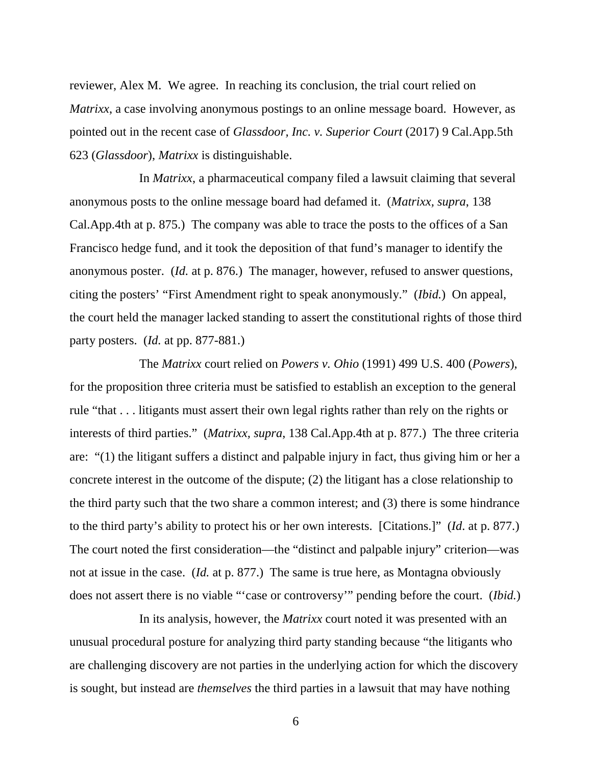reviewer, Alex M. We agree. In reaching its conclusion, the trial court relied on *Matrixx*, a case involving anonymous postings to an online message board. However, as pointed out in the recent case of *Glassdoor, Inc. v. Superior Court* (2017) 9 Cal.App.5th 623 (*Glassdoor*), *Matrixx* is distinguishable.

In *Matrixx*, a pharmaceutical company filed a lawsuit claiming that several anonymous posts to the online message board had defamed it. (*Matrixx, supra*, 138 Cal.App.4th at p. 875.) The company was able to trace the posts to the offices of a San Francisco hedge fund, and it took the deposition of that fund's manager to identify the anonymous poster. (*Id.* at p. 876.) The manager, however, refused to answer questions, citing the posters' "First Amendment right to speak anonymously." (*Ibid.*)On appeal, the court held the manager lacked standing to assert the constitutional rights of those third party posters. (*Id.* at pp. 877-881.)

The *Matrixx* court relied on *Powers v. Ohio* (1991) 499 U.S. 400 (*Powers*), for the proposition three criteria must be satisfied to establish an exception to the general rule "that . . . litigants must assert their own legal rights rather than rely on the rights or interests of third parties." (*Matrixx, supra*, 138 Cal.App.4th at p. 877.) The three criteria are: "(1) the litigant suffers a distinct and palpable injury in fact, thus giving him or her a concrete interest in the outcome of the dispute; (2) the litigant has a close relationship to the third party such that the two share a common interest; and (3) there is some hindrance to the third party's ability to protect his or her own interests. [Citations.]" (*Id*. at p. 877.) The court noted the first consideration—the "distinct and palpable injury" criterion—was not at issue in the case. (*Id.* at p. 877.) The same is true here, as Montagna obviously does not assert there is no viable "'case or controversy'" pending before the court. (*Ibid.*)

In its analysis, however, the *Matrixx* court noted it was presented with an unusual procedural posture for analyzing third party standing because "the litigants who are challenging discovery are not parties in the underlying action for which the discovery is sought, but instead are *themselves* the third parties in a lawsuit that may have nothing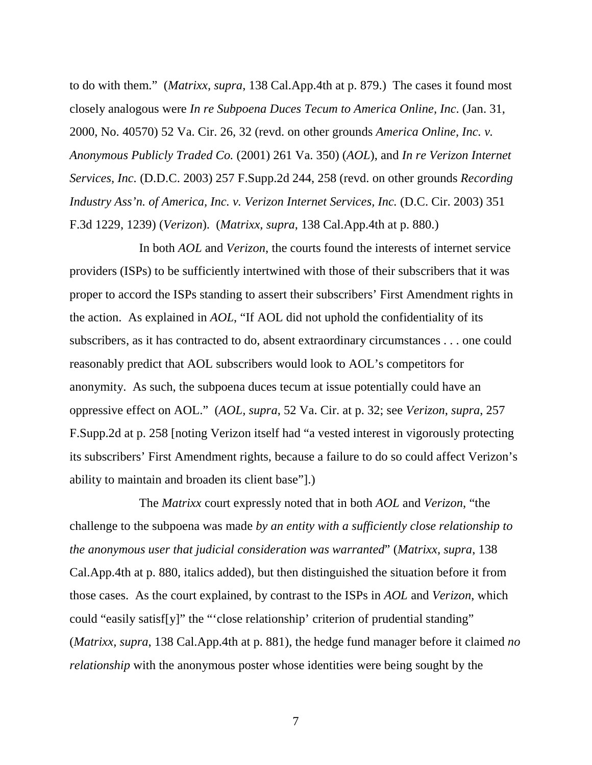to do with them." (*Matrixx, supra*, 138 Cal.App.4th at p. 879.) The cases it found most closely analogous were *In re Subpoena Duces Tecum to America Online, Inc*. (Jan. 31, 2000, No. 40570) 52 Va. Cir. 26, 32 (revd. on other grounds *America Online, Inc. v. Anonymous Publicly Traded Co.* (2001) 261 Va. 350) (*AOL*), and *In re Verizon Internet Services, Inc.* (D.D.C. 2003) 257 F.Supp.2d 244, 258 (revd. on other grounds *Recording Industry Ass'n. of America, Inc. v. Verizon Internet Services, Inc.* (D.C. Cir. 2003) 351 F.3d 1229, 1239) (*Verizon*). (*Matrixx, supra*, 138 Cal.App.4th at p. 880.)

In both *AOL* and *Verizon*, the courts found the interests of internet service providers (ISPs) to be sufficiently intertwined with those of their subscribers that it was proper to accord the ISPs standing to assert their subscribers' First Amendment rights in the action. As explained in *AOL*, "If AOL did not uphold the confidentiality of its subscribers, as it has contracted to do, absent extraordinary circumstances . . . one could reasonably predict that AOL subscribers would look to AOL's competitors for anonymity. As such, the subpoena duces tecum at issue potentially could have an oppressive effect on AOL." (*AOL, supra*, 52 Va. Cir. at p. 32; see *Verizon*, *supra*, 257 F.Supp.2d at p. 258 [noting Verizon itself had "a vested interest in vigorously protecting its subscribers' First Amendment rights, because a failure to do so could affect Verizon's ability to maintain and broaden its client base"].)

The *Matrixx* court expressly noted that in both *AOL* and *Verizon*, "the challenge to the subpoena was made *by an entity with a sufficiently close relationship to the anonymous user that judicial consideration was warranted*" (*Matrixx, supra*, 138 Cal.App.4th at p. 880, italics added), but then distinguished the situation before it from those cases. As the court explained, by contrast to the ISPs in *AOL* and *Verizon*, which could "easily satisf[y]" the "'close relationship' criterion of prudential standing" (*Matrixx, supra*, 138 Cal.App.4th at p. 881), the hedge fund manager before it claimed *no relationship* with the anonymous poster whose identities were being sought by the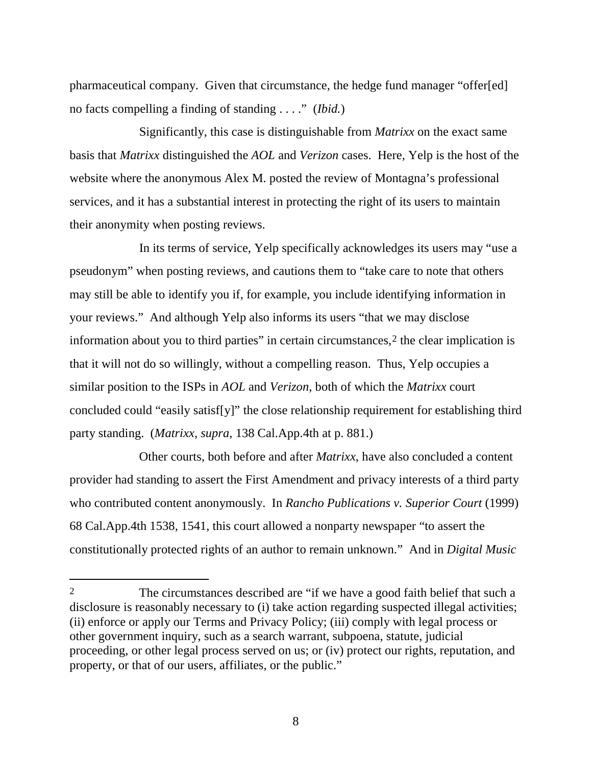pharmaceutical company. Given that circumstance, the hedge fund manager "offer[ed] no facts compelling a finding of standing . . . ." (*Ibid.*)

Significantly, this case is distinguishable from *Matrixx* on the exact same basis that *Matrixx* distinguished the *AOL* and *Verizon* cases. Here, Yelp is the host of the website where the anonymous Alex M. posted the review of Montagna's professional services, and it has a substantial interest in protecting the right of its users to maintain their anonymity when posting reviews.

In its terms of service, Yelp specifically acknowledges its users may "use a pseudonym" when posting reviews, and cautions them to "take care to note that others may still be able to identify you if, for example, you include identifying information in your reviews." And although Yelp also informs its users "that we may disclose information about you to third parties" in certain circumstances,<sup>[2](#page-7-0)</sup> the clear implication is that it will not do so willingly, without a compelling reason. Thus, Yelp occupies a similar position to the ISPs in *AOL* and *Verizon*, both of which the *Matrixx* court concluded could "easily satisf[y]" the close relationship requirement for establishing third party standing. (*Matrixx, supra*, 138 Cal.App.4th at p. 881.)

Other courts, both before and after *Matrixx*, have also concluded a content provider had standing to assert the First Amendment and privacy interests of a third party who contributed content anonymously. In *Rancho Publications v. Superior Court* (1999) 68 Cal.App.4th 1538, 1541, this court allowed a nonparty newspaper "to assert the constitutionally protected rights of an author to remain unknown." And in *Digital Music* 

 $\overline{a}$ 

<span id="page-7-0"></span><sup>2</sup> The circumstances described are "if we have a good faith belief that such a disclosure is reasonably necessary to (i) take action regarding suspected illegal activities; (ii) enforce or apply our Terms and Privacy Policy; (iii) comply with legal process or other government inquiry, such as a search warrant, subpoena, statute, judicial proceeding, or other legal process served on us; or (iv) protect our rights, reputation, and property, or that of our users, affiliates, or the public."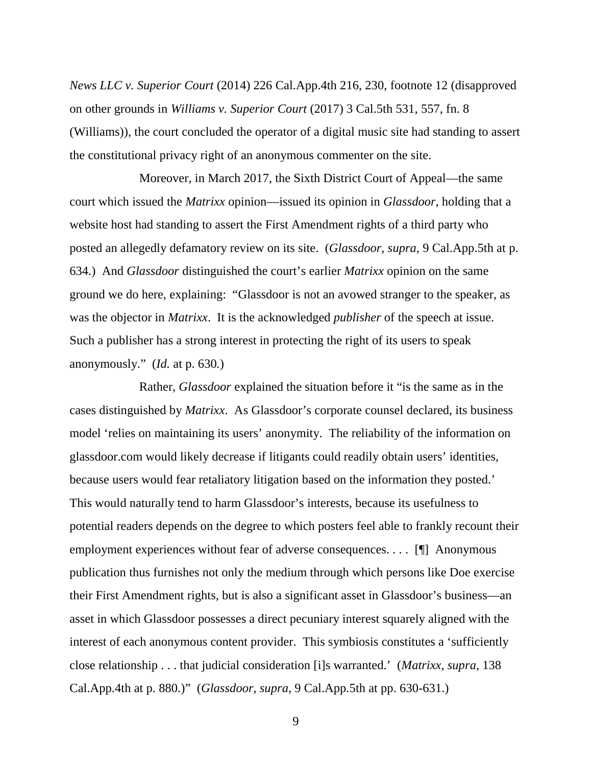*News LLC v. Superior Court* (2014) 226 Cal.App.4th 216, 230, footnote 12 (disapproved on other grounds in *Williams v. Superior Court* (2017) 3 Cal.5th 531, 557, fn. 8 (Williams)), the court concluded the operator of a digital music site had standing to assert the constitutional privacy right of an anonymous commenter on the site.

Moreover, in March 2017, the Sixth District Court of Appeal—the same court which issued the *Matrixx* opinion—issued its opinion in *Glassdoor*, holding that a website host had standing to assert the First Amendment rights of a third party who posted an allegedly defamatory review on its site. (*Glassdoor, supra*, 9 Cal.App.5th at p. 634.) And *Glassdoor* distinguished the court's earlier *Matrixx* opinion on the same ground we do here, explaining: "Glassdoor is not an avowed stranger to the speaker, as was the objector in *Matrixx*. It is the acknowledged *publisher* of the speech at issue. Such a publisher has a strong interest in protecting the right of its users to speak anonymously." (*Id.* at p. 630*.*)

Rather, *Glassdoor* explained the situation before it "is the same as in the cases distinguished by *Matrixx*. As Glassdoor's corporate counsel declared, its business model 'relies on maintaining its users' anonymity. The reliability of the information on glassdoor.com would likely decrease if litigants could readily obtain users' identities, because users would fear retaliatory litigation based on the information they posted.' This would naturally tend to harm Glassdoor's interests, because its usefulness to potential readers depends on the degree to which posters feel able to frankly recount their employment experiences without fear of adverse consequences. . . . [¶] Anonymous publication thus furnishes not only the medium through which persons like Doe exercise their First Amendment rights, but is also a significant asset in Glassdoor's business—an asset in which Glassdoor possesses a direct pecuniary interest squarely aligned with the interest of each anonymous content provider. This symbiosis constitutes a 'sufficiently close relationship . . . that judicial consideration [i]s warranted.' (*Matrixx, supra*, 138 Cal.App.4th at p. 880.)" (*Glassdoor, supra*, 9 Cal.App.5th at pp. 630-631.)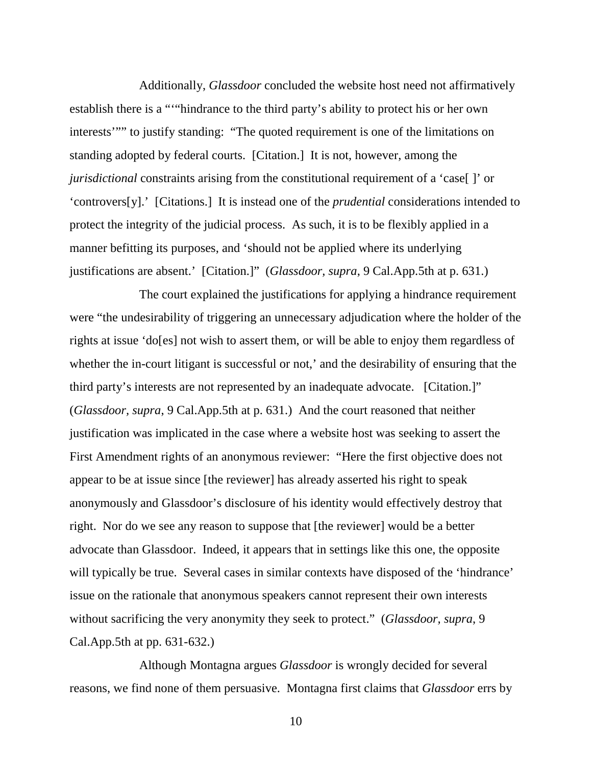Additionally, *Glassdoor* concluded the website host need not affirmatively establish there is a "'"hindrance to the third party's ability to protect his or her own interests'"" to justify standing: "The quoted requirement is one of the limitations on standing adopted by federal courts. [Citation.] It is not, however, among the *jurisdictional* constraints arising from the constitutional requirement of a 'case[ ]' or 'controvers[y].' [Citations.] It is instead one of the *prudential* considerations intended to protect the integrity of the judicial process. As such, it is to be flexibly applied in a manner befitting its purposes, and 'should not be applied where its underlying justifications are absent.' [Citation.]" (*Glassdoor, supra*, 9 Cal.App.5th at p. 631.)

The court explained the justifications for applying a hindrance requirement were "the undesirability of triggering an unnecessary adjudication where the holder of the rights at issue 'do[es] not wish to assert them, or will be able to enjoy them regardless of whether the in-court litigant is successful or not,' and the desirability of ensuring that the third party's interests are not represented by an inadequate advocate. [Citation.]" (*Glassdoor, supra*, 9 Cal.App.5th at p. 631.) And the court reasoned that neither justification was implicated in the case where a website host was seeking to assert the First Amendment rights of an anonymous reviewer: "Here the first objective does not appear to be at issue since [the reviewer] has already asserted his right to speak anonymously and Glassdoor's disclosure of his identity would effectively destroy that right. Nor do we see any reason to suppose that [the reviewer] would be a better advocate than Glassdoor. Indeed, it appears that in settings like this one, the opposite will typically be true. Several cases in similar contexts have disposed of the 'hindrance' issue on the rationale that anonymous speakers cannot represent their own interests without sacrificing the very anonymity they seek to protect." (*Glassdoor, supra*, 9 Cal.App.5th at pp. 631-632.)

Although Montagna argues *Glassdoor* is wrongly decided for several reasons, we find none of them persuasive. Montagna first claims that *Glassdoor* errs by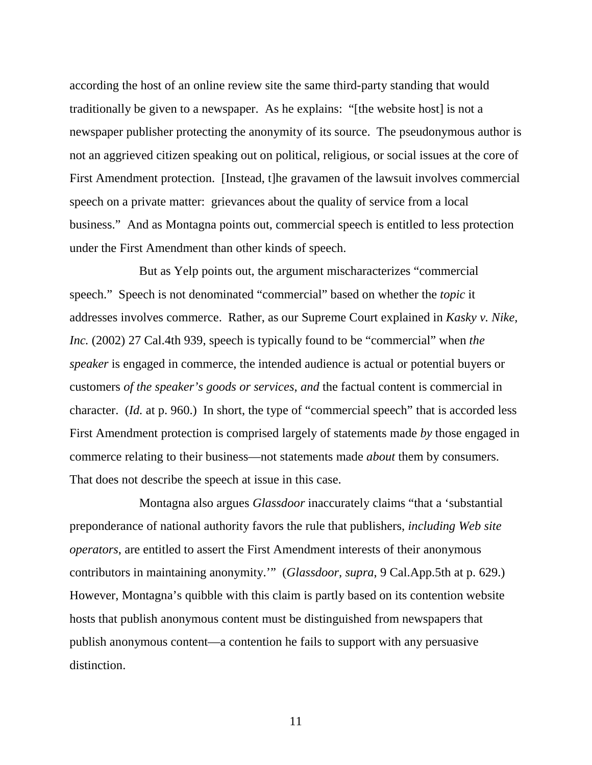according the host of an online review site the same third-party standing that would traditionally be given to a newspaper. As he explains: "[the website host] is not a newspaper publisher protecting the anonymity of its source. The pseudonymous author is not an aggrieved citizen speaking out on political, religious, or social issues at the core of First Amendment protection. [Instead, t]he gravamen of the lawsuit involves commercial speech on a private matter: grievances about the quality of service from a local business." And as Montagna points out, commercial speech is entitled to less protection under the First Amendment than other kinds of speech.

But as Yelp points out, the argument mischaracterizes "commercial speech." Speech is not denominated "commercial" based on whether the *topic* it addresses involves commerce. Rather, as our Supreme Court explained in *Kasky v. Nike, Inc.* (2002) 27 Cal.4th 939, speech is typically found to be "commercial" when *the speaker* is engaged in commerce, the intended audience is actual or potential buyers or customers *of the speaker's goods or services*, *and* the factual content is commercial in character. (*Id.* at p. 960.) In short, the type of "commercial speech" that is accorded less First Amendment protection is comprised largely of statements made *by* those engaged in commerce relating to their business—not statements made *about* them by consumers. That does not describe the speech at issue in this case.

Montagna also argues *Glassdoor* inaccurately claims "that a 'substantial preponderance of national authority favors the rule that publishers, *including Web site operators*, are entitled to assert the First Amendment interests of their anonymous contributors in maintaining anonymity.'" (*Glassdoor, supra*, 9 Cal.App.5th at p. 629.) However, Montagna's quibble with this claim is partly based on its contention website hosts that publish anonymous content must be distinguished from newspapers that publish anonymous content—a contention he fails to support with any persuasive distinction.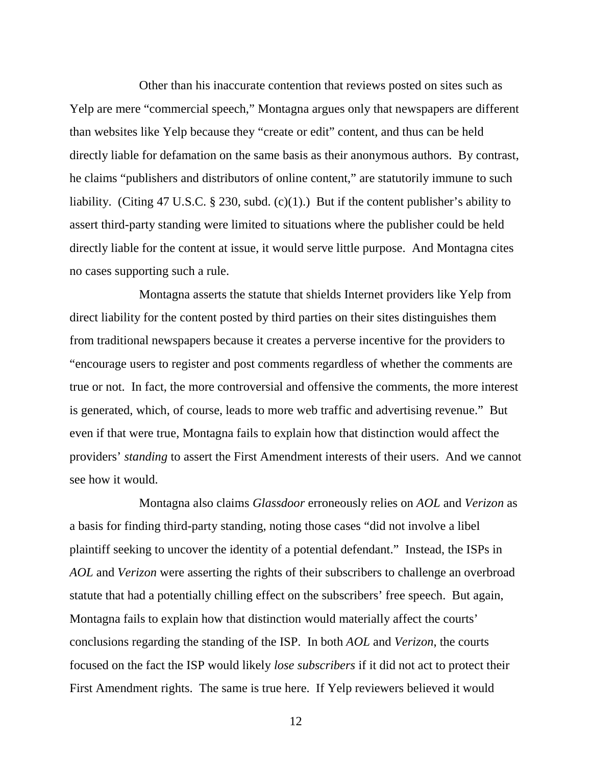Other than his inaccurate contention that reviews posted on sites such as Yelp are mere "commercial speech," Montagna argues only that newspapers are different than websites like Yelp because they "create or edit" content, and thus can be held directly liable for defamation on the same basis as their anonymous authors. By contrast, he claims "publishers and distributors of online content," are statutorily immune to such liability. (Citing 47 U.S.C. § 230, subd. (c)(1).) But if the content publisher's ability to assert third-party standing were limited to situations where the publisher could be held directly liable for the content at issue, it would serve little purpose. And Montagna cites no cases supporting such a rule.

Montagna asserts the statute that shields Internet providers like Yelp from direct liability for the content posted by third parties on their sites distinguishes them from traditional newspapers because it creates a perverse incentive for the providers to "encourage users to register and post comments regardless of whether the comments are true or not. In fact, the more controversial and offensive the comments, the more interest is generated, which, of course, leads to more web traffic and advertising revenue." But even if that were true, Montagna fails to explain how that distinction would affect the providers' *standing* to assert the First Amendment interests of their users. And we cannot see how it would.

Montagna also claims *Glassdoor* erroneously relies on *AOL* and *Verizon* as a basis for finding third-party standing, noting those cases "did not involve a libel plaintiff seeking to uncover the identity of a potential defendant." Instead, the ISPs in *AOL* and *Verizon* were asserting the rights of their subscribers to challenge an overbroad statute that had a potentially chilling effect on the subscribers' free speech. But again, Montagna fails to explain how that distinction would materially affect the courts' conclusions regarding the standing of the ISP. In both *AOL* and *Verizon*, the courts focused on the fact the ISP would likely *lose subscribers* if it did not act to protect their First Amendment rights. The same is true here. If Yelp reviewers believed it would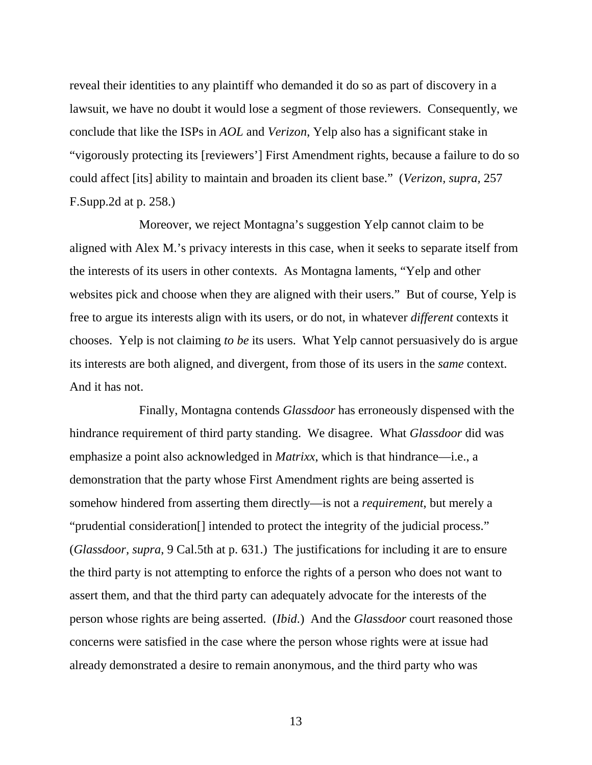reveal their identities to any plaintiff who demanded it do so as part of discovery in a lawsuit, we have no doubt it would lose a segment of those reviewers. Consequently, we conclude that like the ISPs in *AOL* and *Verizon*, Yelp also has a significant stake in "vigorously protecting its [reviewers'] First Amendment rights, because a failure to do so could affect [its] ability to maintain and broaden its client base." (*Verizon, supra,* 257 F.Supp.2d at p. 258.)

Moreover, we reject Montagna's suggestion Yelp cannot claim to be aligned with Alex M.'s privacy interests in this case, when it seeks to separate itself from the interests of its users in other contexts. As Montagna laments, "Yelp and other websites pick and choose when they are aligned with their users." But of course, Yelp is free to argue its interests align with its users, or do not, in whatever *different* contexts it chooses. Yelp is not claiming *to be* its users. What Yelp cannot persuasively do is argue its interests are both aligned, and divergent, from those of its users in the *same* context. And it has not.

Finally, Montagna contends *Glassdoor* has erroneously dispensed with the hindrance requirement of third party standing. We disagree. What *Glassdoor* did was emphasize a point also acknowledged in *Matrixx*, which is that hindrance—i.e., a demonstration that the party whose First Amendment rights are being asserted is somehow hindered from asserting them directly—is not a *requirement*, but merely a "prudential consideration[] intended to protect the integrity of the judicial process." (*Glassdoor, supra*, 9 Cal.5th at p. 631.) The justifications for including it are to ensure the third party is not attempting to enforce the rights of a person who does not want to assert them, and that the third party can adequately advocate for the interests of the person whose rights are being asserted. (*Ibid*.) And the *Glassdoor* court reasoned those concerns were satisfied in the case where the person whose rights were at issue had already demonstrated a desire to remain anonymous, and the third party who was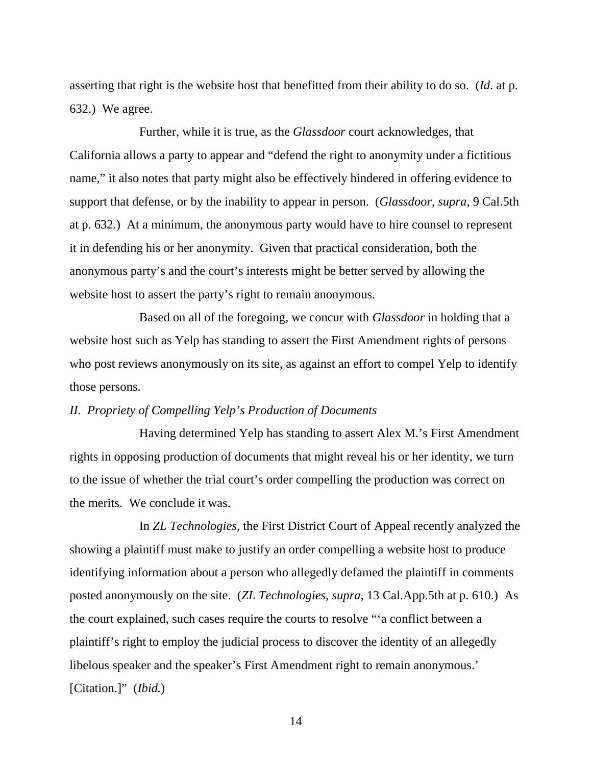asserting that right is the website host that benefitted from their ability to do so. (*Id*. at p. 632.) We agree.

Further, while it is true, as the *Glassdoor* court acknowledges, that California allows a party to appear and "defend the right to anonymity under a fictitious name," it also notes that party might also be effectively hindered in offering evidence to support that defense, or by the inability to appear in person. (*Glassdoor, supra*, 9 Cal.5th at p. 632.) At a minimum, the anonymous party would have to hire counsel to represent it in defending his or her anonymity. Given that practical consideration, both the anonymous party's and the court's interests might be better served by allowing the website host to assert the party's right to remain anonymous.

Based on all of the foregoing, we concur with *Glassdoor* in holding that a website host such as Yelp has standing to assert the First Amendment rights of persons who post reviews anonymously on its site, as against an effort to compel Yelp to identify those persons.

## *II. Propriety of Compelling Yelp's Production of Documents*

Having determined Yelp has standing to assert Alex M.'s First Amendment rights in opposing production of documents that might reveal his or her identity, we turn to the issue of whether the trial court's order compelling the production was correct on the merits. We conclude it was.

In *ZL Technologies*, the First District Court of Appeal recently analyzed the showing a plaintiff must make to justify an order compelling a website host to produce identifying information about a person who allegedly defamed the plaintiff in comments posted anonymously on the site. (*ZL Technologies, supra*, 13 Cal.App.5th at p. 610.) As the court explained, such cases require the courts to resolve "'a conflict between a plaintiff's right to employ the judicial process to discover the identity of an allegedly libelous speaker and the speaker's First Amendment right to remain anonymous.' [Citation.]" (*Ibid.*)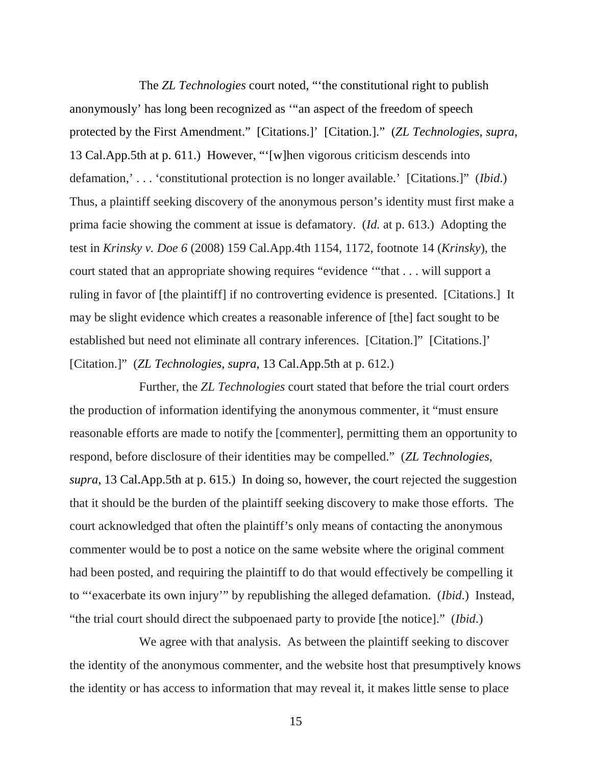The *ZL Technologies* court noted, "'the constitutional right to publish anonymously' has long been recognized as '"an aspect of the freedom of speech protected by the First Amendment." [Citations.]' [Citation.]." (*ZL Technologies, supra*, 13 Cal.App.5th at p. 611.) However, "'[w]hen vigorous criticism descends into defamation,' . . . 'constitutional protection is no longer available.' [Citations.]" (*Ibid*.) Thus, a plaintiff seeking discovery of the anonymous person's identity must first make a prima facie showing the comment at issue is defamatory. (*Id.* at p. 613.) Adopting the test in *Krinsky v. Doe 6* (2008) 159 Cal.App.4th 1154, 1172, footnote 14 (*Krinsky*), the court stated that an appropriate showing requires "evidence '"that . . . will support a ruling in favor of [the plaintiff] if no controverting evidence is presented. [Citations.] It may be slight evidence which creates a reasonable inference of [the] fact sought to be established but need not eliminate all contrary inferences. [Citation.]" [Citations.]' [Citation.]" (*ZL Technologies, supra*, 13 Cal.App.5th at p. 612.)

Further, the *ZL Technologies* court stated that before the trial court orders the production of information identifying the anonymous commenter, it "must ensure reasonable efforts are made to notify the [commenter], permitting them an opportunity to respond, before disclosure of their identities may be compelled." (*ZL Technologies, supra*, 13 Cal.App.5th at p. 615.) In doing so, however, the court rejected the suggestion that it should be the burden of the plaintiff seeking discovery to make those efforts. The court acknowledged that often the plaintiff's only means of contacting the anonymous commenter would be to post a notice on the same website where the original comment had been posted, and requiring the plaintiff to do that would effectively be compelling it to "'exacerbate its own injury'" by republishing the alleged defamation. (*Ibid*.) Instead, "the trial court should direct the subpoenaed party to provide [the notice]." (*Ibid*.)

We agree with that analysis. As between the plaintiff seeking to discover the identity of the anonymous commenter, and the website host that presumptively knows the identity or has access to information that may reveal it, it makes little sense to place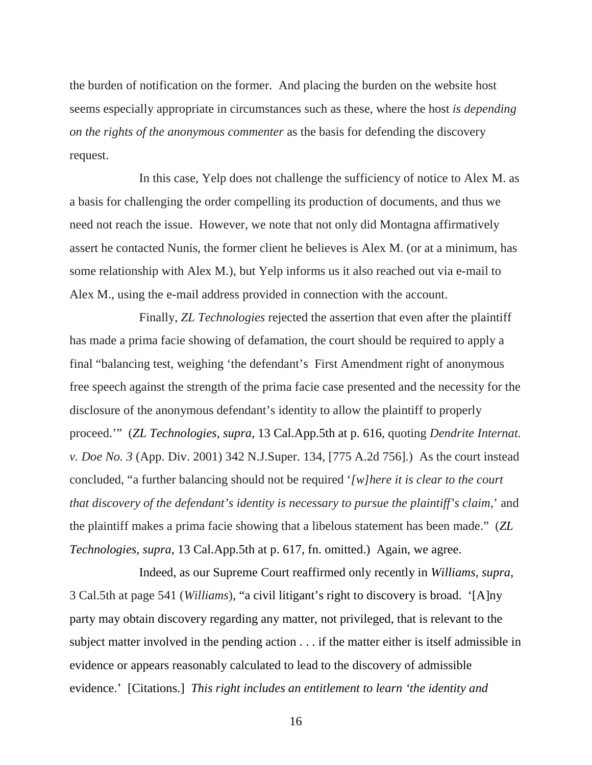the burden of notification on the former. And placing the burden on the website host seems especially appropriate in circumstances such as these, where the host *is depending on the rights of the anonymous commenter* as the basis for defending the discovery request.

In this case, Yelp does not challenge the sufficiency of notice to Alex M. as a basis for challenging the order compelling its production of documents, and thus we need not reach the issue. However, we note that not only did Montagna affirmatively assert he contacted Nunis, the former client he believes is Alex M. (or at a minimum, has some relationship with Alex M.), but Yelp informs us it also reached out via e-mail to Alex M., using the e-mail address provided in connection with the account.

Finally, *ZL Technologies* rejected the assertion that even after the plaintiff has made a prima facie showing of defamation, the court should be required to apply a final "balancing test, weighing 'the defendant's First Amendment right of anonymous free speech against the strength of the prima facie case presented and the necessity for the disclosure of the anonymous defendant's identity to allow the plaintiff to properly proceed.'" (*ZL Technologies, supra*, 13 Cal.App.5th at p. 616, quoting *Dendrite Internat. v. Doe No. 3* (App. Div. 2001) 342 N.J.Super. 134, [775 A.2d 756].) As the court instead concluded, "a further balancing should not be required '*[w]here it is clear to the court that discovery of the defendant's identity is necessary to pursue the plaintiff's claim*,' and the plaintiff makes a prima facie showing that a libelous statement has been made." (*ZL Technologies, supra*, 13 Cal.App.5th at p. 617, fn. omitted.) Again, we agree.

Indeed, as our Supreme Court reaffirmed only recently in *Williams, supra,* 3 Cal.5th at page 541 (*Williams*), "a civil litigant's right to discovery is broad. '[A]ny party may obtain discovery regarding any matter, not privileged, that is relevant to the subject matter involved in the pending action . . . if the matter either is itself admissible in evidence or appears reasonably calculated to lead to the discovery of admissible evidence.' [Citations.] *This right includes an entitlement to learn 'the identity and*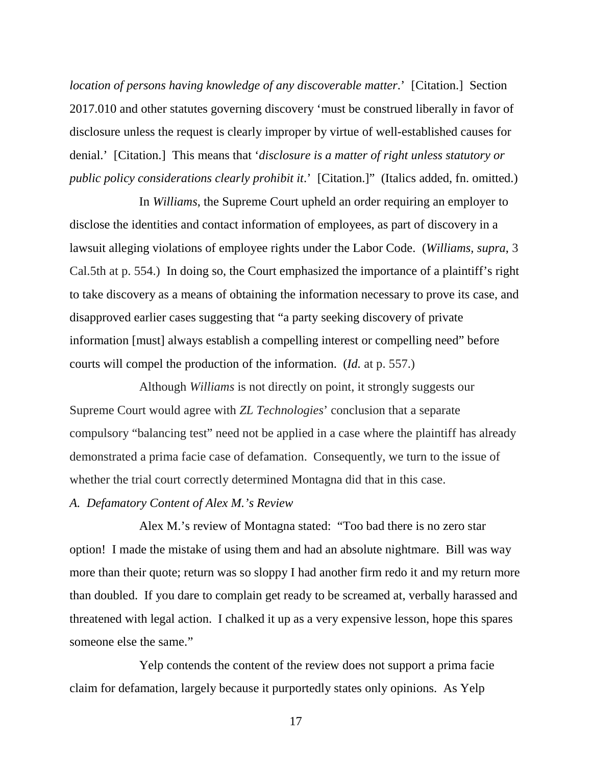*location of persons having knowledge of any discoverable matter*.' [Citation.] Section 2017.010 and other statutes governing discovery 'must be construed liberally in favor of disclosure unless the request is clearly improper by virtue of well-established causes for denial.' [Citation.] This means that '*disclosure is a matter of right unless statutory or public policy considerations clearly prohibit it*.' [Citation.]" (Italics added, fn. omitted.)

In *Williams*, the Supreme Court upheld an order requiring an employer to disclose the identities and contact information of employees, as part of discovery in a lawsuit alleging violations of employee rights under the Labor Code. (*Williams, supra*, 3 Cal.5th at p. 554.) In doing so, the Court emphasized the importance of a plaintiff's right to take discovery as a means of obtaining the information necessary to prove its case, and disapproved earlier cases suggesting that "a party seeking discovery of private information [must] always establish a compelling interest or compelling need" before courts will compel the production of the information. (*Id.* at p. 557.)

Although *Williams* is not directly on point, it strongly suggests our Supreme Court would agree with *ZL Technologies*' conclusion that a separate compulsory "balancing test" need not be applied in a case where the plaintiff has already demonstrated a prima facie case of defamation. Consequently, we turn to the issue of whether the trial court correctly determined Montagna did that in this case.

#### *A. Defamatory Content of Alex M.'s Review*

Alex M.'s review of Montagna stated: "Too bad there is no zero star option! I made the mistake of using them and had an absolute nightmare. Bill was way more than their quote; return was so sloppy I had another firm redo it and my return more than doubled. If you dare to complain get ready to be screamed at, verbally harassed and threatened with legal action. I chalked it up as a very expensive lesson, hope this spares someone else the same."

Yelp contends the content of the review does not support a prima facie claim for defamation, largely because it purportedly states only opinions. As Yelp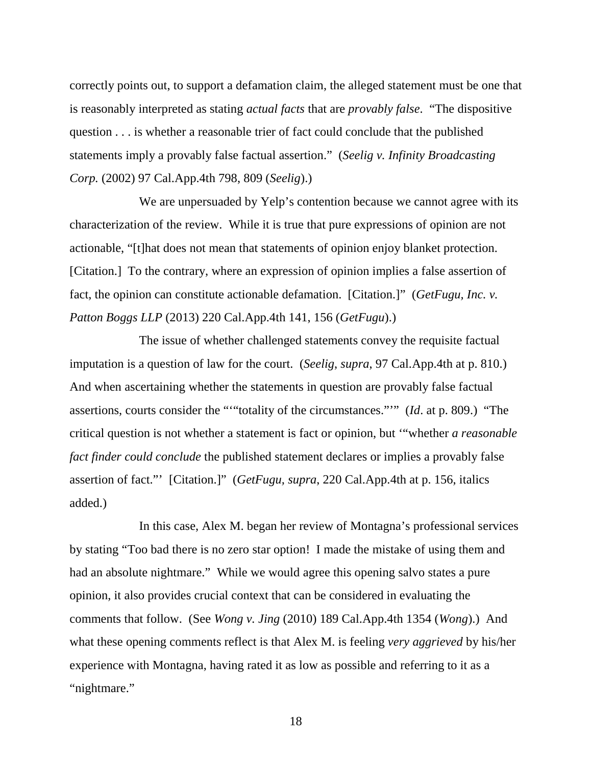correctly points out, to support a defamation claim, the alleged statement must be one that is reasonably interpreted as stating *actual facts* that are *provably false*. "The dispositive question . . . is whether a reasonable trier of fact could conclude that the published statements imply a provably false factual assertion." (*Seelig v. Infinity Broadcasting Corp.* (2002) 97 Cal.App.4th 798, 809 (*Seelig*).)

We are unpersuaded by Yelp's contention because we cannot agree with its characterization of the review. While it is true that pure expressions of opinion are not actionable, "[t]hat does not mean that statements of opinion enjoy blanket protection. [Citation.] To the contrary, where an expression of opinion implies a false assertion of fact, the opinion can constitute actionable defamation. [Citation.]" (*GetFugu, Inc. v. Patton Boggs LLP* (2013) 220 Cal.App.4th 141, 156 (*GetFugu*).)

The issue of whether challenged statements convey the requisite factual imputation is a question of law for the court. (*Seelig*, *supra*, 97 Cal.App.4th at p. 810.) And when ascertaining whether the statements in question are provably false factual assertions, courts consider the "'"totality of the circumstances."'" (*Id*. at p. 809.) "The critical question is not whether a statement is fact or opinion, but '"whether *a reasonable fact finder could conclude* the published statement declares or implies a provably false assertion of fact."' [Citation.]" (*GetFugu, supra*, 220 Cal.App.4th at p. 156, italics added.)

In this case, Alex M. began her review of Montagna's professional services by stating "Too bad there is no zero star option! I made the mistake of using them and had an absolute nightmare." While we would agree this opening salvo states a pure opinion, it also provides crucial context that can be considered in evaluating the comments that follow. (See *Wong v. Jing* (2010) 189 Cal.App.4th 1354 (*Wong*).) And what these opening comments reflect is that Alex M. is feeling *very aggrieved* by his/her experience with Montagna, having rated it as low as possible and referring to it as a "nightmare."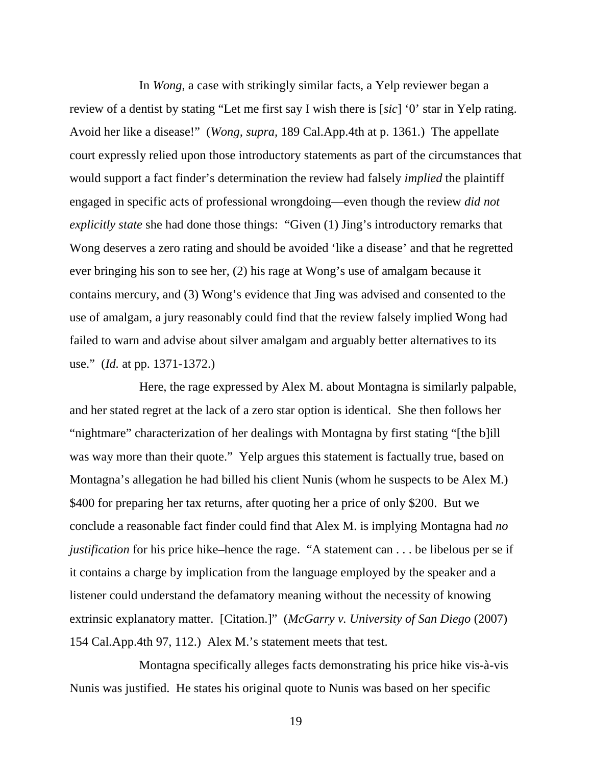In *Wong*, a case with strikingly similar facts, a Yelp reviewer began a review of a dentist by stating "Let me first say I wish there is [*sic*] '0' star in Yelp rating. Avoid her like a disease!" (*Wong, supra,* 189 Cal.App.4th at p. 1361.) The appellate court expressly relied upon those introductory statements as part of the circumstances that would support a fact finder's determination the review had falsely *implied* the plaintiff engaged in specific acts of professional wrongdoing—even though the review *did not explicitly state* she had done those things: "Given (1) Jing's introductory remarks that Wong deserves a zero rating and should be avoided 'like a disease' and that he regretted ever bringing his son to see her, (2) his rage at Wong's use of amalgam because it contains mercury, and (3) Wong's evidence that Jing was advised and consented to the use of amalgam, a jury reasonably could find that the review falsely implied Wong had failed to warn and advise about silver amalgam and arguably better alternatives to its use." (*Id.* at pp. 1371-1372.)

Here, the rage expressed by Alex M. about Montagna is similarly palpable, and her stated regret at the lack of a zero star option is identical. She then follows her "nightmare" characterization of her dealings with Montagna by first stating "[the b]ill was way more than their quote." Yelp argues this statement is factually true, based on Montagna's allegation he had billed his client Nunis (whom he suspects to be Alex M.) \$400 for preparing her tax returns, after quoting her a price of only \$200. But we conclude a reasonable fact finder could find that Alex M. is implying Montagna had *no justification* for his price hike–hence the rage. "A statement can . . . be libelous per se if it contains a charge by implication from the language employed by the speaker and a listener could understand the defamatory meaning without the necessity of knowing extrinsic explanatory matter. [Citation.]" (*McGarry v. University of San Diego* (2007) 154 Cal.App.4th 97, 112.) Alex M.'s statement meets that test.

Montagna specifically alleges facts demonstrating his price hike vis-à-vis Nunis was justified. He states his original quote to Nunis was based on her specific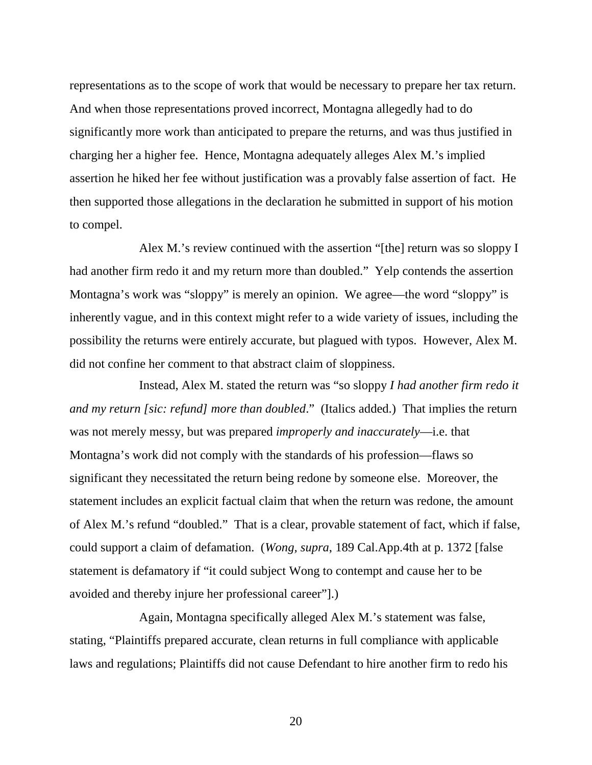representations as to the scope of work that would be necessary to prepare her tax return. And when those representations proved incorrect, Montagna allegedly had to do significantly more work than anticipated to prepare the returns, and was thus justified in charging her a higher fee. Hence, Montagna adequately alleges Alex M.'s implied assertion he hiked her fee without justification was a provably false assertion of fact. He then supported those allegations in the declaration he submitted in support of his motion to compel.

Alex M.'s review continued with the assertion "[the] return was so sloppy I had another firm redo it and my return more than doubled." Yelp contends the assertion Montagna's work was "sloppy" is merely an opinion. We agree—the word "sloppy" is inherently vague, and in this context might refer to a wide variety of issues, including the possibility the returns were entirely accurate, but plagued with typos. However, Alex M. did not confine her comment to that abstract claim of sloppiness.

Instead, Alex M. stated the return was "so sloppy *I had another firm redo it and my return [sic: refund] more than doubled*." (Italics added.) That implies the return was not merely messy, but was prepared *improperly and inaccurately*—i.e. that Montagna's work did not comply with the standards of his profession—flaws so significant they necessitated the return being redone by someone else. Moreover, the statement includes an explicit factual claim that when the return was redone, the amount of Alex M.'s refund "doubled." That is a clear, provable statement of fact, which if false, could support a claim of defamation. (*Wong, supra*, 189 Cal.App.4th at p. 1372 [false statement is defamatory if "it could subject Wong to contempt and cause her to be avoided and thereby injure her professional career"].)

Again, Montagna specifically alleged Alex M.'s statement was false, stating, "Plaintiffs prepared accurate, clean returns in full compliance with applicable laws and regulations; Plaintiffs did not cause Defendant to hire another firm to redo his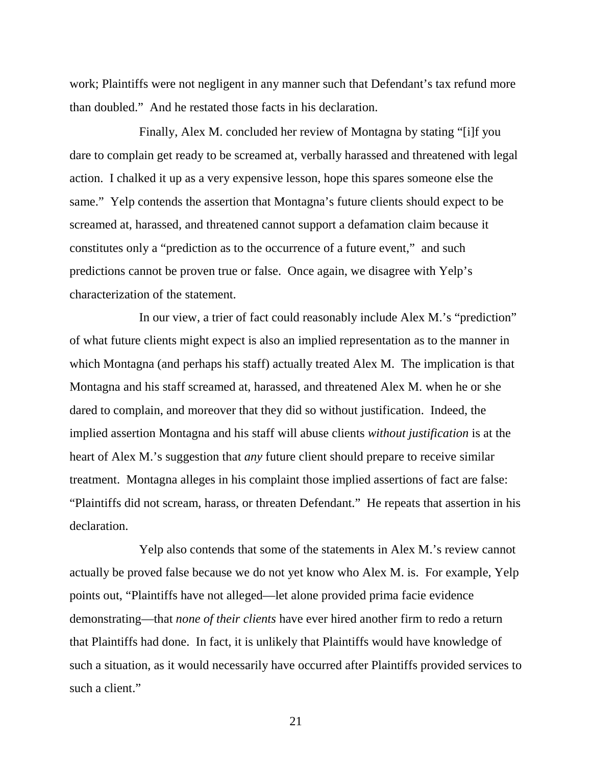work; Plaintiffs were not negligent in any manner such that Defendant's tax refund more than doubled." And he restated those facts in his declaration.

Finally, Alex M. concluded her review of Montagna by stating "[i]f you dare to complain get ready to be screamed at, verbally harassed and threatened with legal action. I chalked it up as a very expensive lesson, hope this spares someone else the same." Yelp contends the assertion that Montagna's future clients should expect to be screamed at, harassed, and threatened cannot support a defamation claim because it constitutes only a "prediction as to the occurrence of a future event," and such predictions cannot be proven true or false. Once again, we disagree with Yelp's characterization of the statement.

In our view, a trier of fact could reasonably include Alex M.'s "prediction" of what future clients might expect is also an implied representation as to the manner in which Montagna (and perhaps his staff) actually treated Alex M. The implication is that Montagna and his staff screamed at, harassed, and threatened Alex M. when he or she dared to complain, and moreover that they did so without justification. Indeed, the implied assertion Montagna and his staff will abuse clients *without justification* is at the heart of Alex M.'s suggestion that *any* future client should prepare to receive similar treatment. Montagna alleges in his complaint those implied assertions of fact are false: "Plaintiffs did not scream, harass, or threaten Defendant." He repeats that assertion in his declaration.

Yelp also contends that some of the statements in Alex M.'s review cannot actually be proved false because we do not yet know who Alex M. is. For example, Yelp points out, "Plaintiffs have not alleged—let alone provided prima facie evidence demonstrating—that *none of their clients* have ever hired another firm to redo a return that Plaintiffs had done. In fact, it is unlikely that Plaintiffs would have knowledge of such a situation, as it would necessarily have occurred after Plaintiffs provided services to such a client."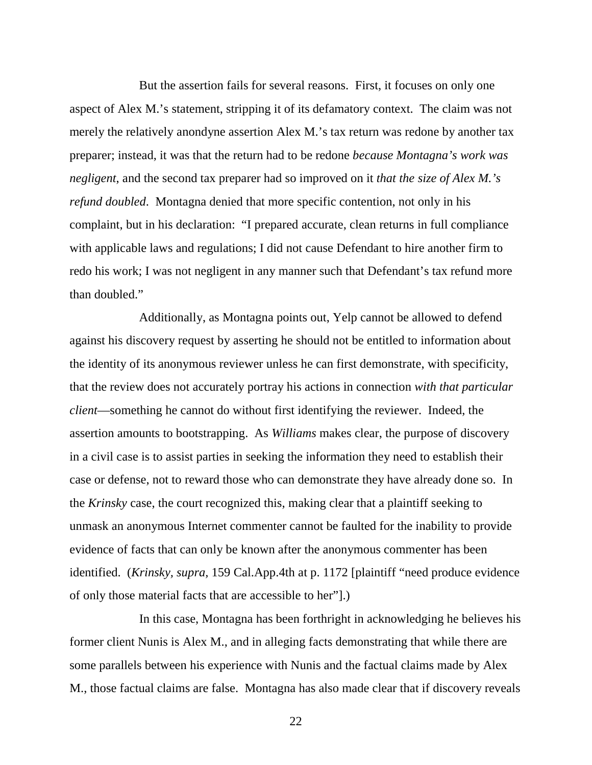But the assertion fails for several reasons. First, it focuses on only one aspect of Alex M.'s statement, stripping it of its defamatory context. The claim was not merely the relatively anondyne assertion Alex M.'s tax return was redone by another tax preparer; instead, it was that the return had to be redone *because Montagna's work was negligent*, and the second tax preparer had so improved on it *that the size of Alex M.'s refund doubled*. Montagna denied that more specific contention, not only in his complaint, but in his declaration: "I prepared accurate, clean returns in full compliance with applicable laws and regulations; I did not cause Defendant to hire another firm to redo his work; I was not negligent in any manner such that Defendant's tax refund more than doubled."

Additionally, as Montagna points out, Yelp cannot be allowed to defend against his discovery request by asserting he should not be entitled to information about the identity of its anonymous reviewer unless he can first demonstrate, with specificity, that the review does not accurately portray his actions in connection *with that particular client*—something he cannot do without first identifying the reviewer. Indeed, the assertion amounts to bootstrapping. As *Williams* makes clear, the purpose of discovery in a civil case is to assist parties in seeking the information they need to establish their case or defense, not to reward those who can demonstrate they have already done so. In the *Krinsky* case, the court recognized this, making clear that a plaintiff seeking to unmask an anonymous Internet commenter cannot be faulted for the inability to provide evidence of facts that can only be known after the anonymous commenter has been identified. (*Krinsky, supra,* 159 Cal.App.4th at p. 1172 [plaintiff "need produce evidence of only those material facts that are accessible to her"].)

In this case, Montagna has been forthright in acknowledging he believes his former client Nunis is Alex M., and in alleging facts demonstrating that while there are some parallels between his experience with Nunis and the factual claims made by Alex M., those factual claims are false. Montagna has also made clear that if discovery reveals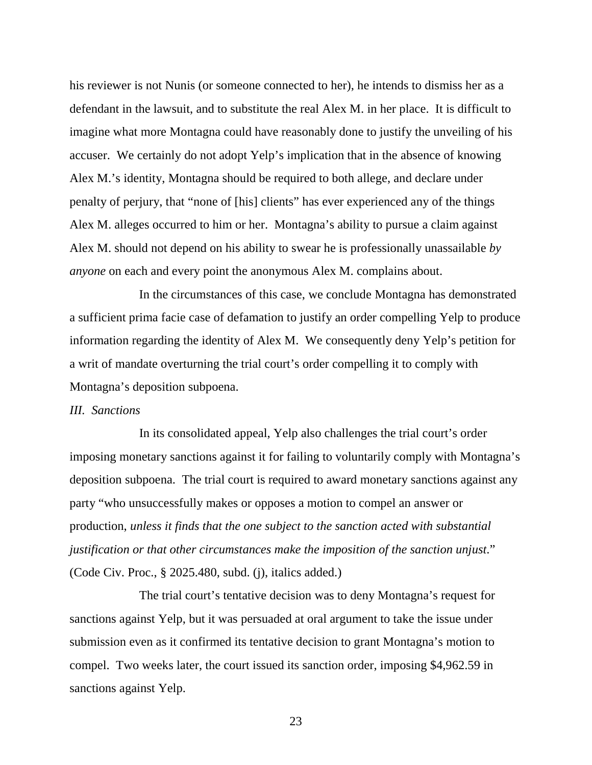his reviewer is not Nunis (or someone connected to her), he intends to dismiss her as a defendant in the lawsuit, and to substitute the real Alex M. in her place. It is difficult to imagine what more Montagna could have reasonably done to justify the unveiling of his accuser. We certainly do not adopt Yelp's implication that in the absence of knowing Alex M.'s identity, Montagna should be required to both allege, and declare under penalty of perjury, that "none of [his] clients" has ever experienced any of the things Alex M. alleges occurred to him or her. Montagna's ability to pursue a claim against Alex M. should not depend on his ability to swear he is professionally unassailable *by anyone* on each and every point the anonymous Alex M. complains about.

In the circumstances of this case, we conclude Montagna has demonstrated a sufficient prima facie case of defamation to justify an order compelling Yelp to produce information regarding the identity of Alex M. We consequently deny Yelp's petition for a writ of mandate overturning the trial court's order compelling it to comply with Montagna's deposition subpoena.

#### *III. Sanctions*

In its consolidated appeal, Yelp also challenges the trial court's order imposing monetary sanctions against it for failing to voluntarily comply with Montagna's deposition subpoena. The trial court is required to award monetary sanctions against any party "who unsuccessfully makes or opposes a motion to compel an answer or production, *unless it finds that the one subject to the sanction acted with substantial justification or that other circumstances make the imposition of the sanction unjust*." (Code Civ. Proc., § 2025.480, subd. (j), italics added.)

The trial court's tentative decision was to deny Montagna's request for sanctions against Yelp, but it was persuaded at oral argument to take the issue under submission even as it confirmed its tentative decision to grant Montagna's motion to compel. Two weeks later, the court issued its sanction order, imposing \$4,962.59 in sanctions against Yelp.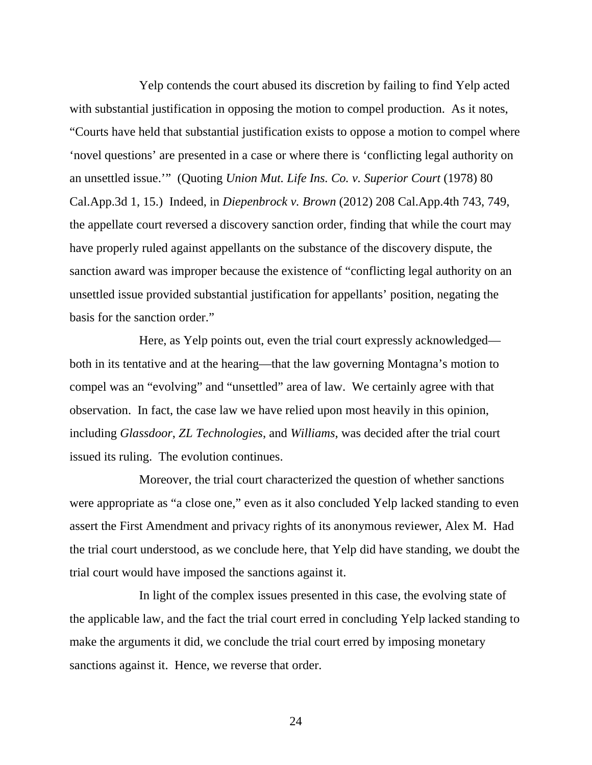Yelp contends the court abused its discretion by failing to find Yelp acted with substantial justification in opposing the motion to compel production. As it notes, "Courts have held that substantial justification exists to oppose a motion to compel where 'novel questions' are presented in a case or where there is 'conflicting legal authority on an unsettled issue.'" (Quoting *Union Mut. Life Ins. Co. v. Superior Court* (1978) 80 Cal.App.3d 1, 15.) Indeed, in *Diepenbrock v. Brown* (2012) 208 Cal.App.4th 743, 749, the appellate court reversed a discovery sanction order, finding that while the court may have properly ruled against appellants on the substance of the discovery dispute, the sanction award was improper because the existence of "conflicting legal authority on an unsettled issue provided substantial justification for appellants' position, negating the basis for the sanction order."

Here, as Yelp points out, even the trial court expressly acknowledged both in its tentative and at the hearing—that the law governing Montagna's motion to compel was an "evolving" and "unsettled" area of law. We certainly agree with that observation. In fact, the case law we have relied upon most heavily in this opinion, including *Glassdoor*, *ZL Technologies*, and *Williams*, was decided after the trial court issued its ruling. The evolution continues.

Moreover, the trial court characterized the question of whether sanctions were appropriate as "a close one," even as it also concluded Yelp lacked standing to even assert the First Amendment and privacy rights of its anonymous reviewer, Alex M. Had the trial court understood, as we conclude here, that Yelp did have standing, we doubt the trial court would have imposed the sanctions against it.

In light of the complex issues presented in this case, the evolving state of the applicable law, and the fact the trial court erred in concluding Yelp lacked standing to make the arguments it did, we conclude the trial court erred by imposing monetary sanctions against it. Hence, we reverse that order.